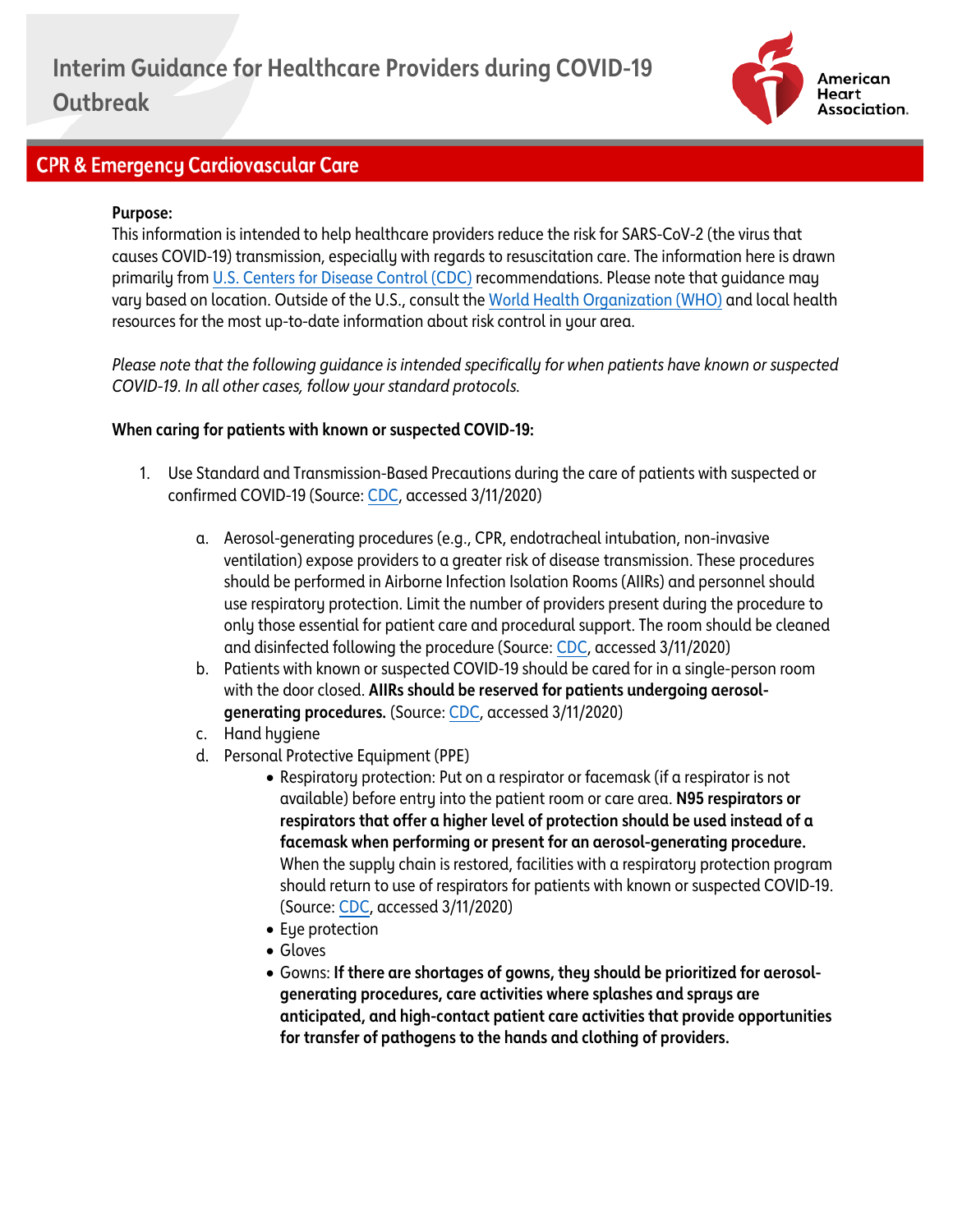

### **CPR & Emergency Cardiovascular Care**

#### **Purpose:**

This information is intended to help healthcare providers reduce the risk for SARS-CoV-2 (the virus that causes COVID-19) transmission, especially with regards to resuscitation care. The information here is drawn primarily fro[m U.S. Centers for Disease Control \(CDC\)](https://www.cdc.gov/coronavirus/2019-ncov/index.html) recommendations. Please note that guidance may vary based on location. Outside of the U.S., consult the [World Health Organization \(WHO\)](https://www.who.int/emergencies/diseases/novel-coronavirus-2019) and local health resources for the most up-to-date information about risk control in your area.

*Please note that the following guidance is intended specifically for when patients have known or suspected COVID-19. In all other cases, follow your standard protocols.*

#### **When caring for patients with known or suspected COVID-19:**

- 1. Use Standard and Transmission-Based Precautions during the care of patients with suspected or confirmed COVID-19 (Source[: CDC,](https://www.cdc.gov/coronavirus/2019-ncov/infection-control/control-recommendations.html?CDC_AA_refVal=https%3A%2F%2Fwww.cdc.gov%2Fcoronavirus%2F2019-ncov%2Fhcp%2Finfection-control.html) accessed 3/11/2020)
	- a. Aerosol-generating procedures (e.g., CPR, endotracheal intubation, non-invasive ventilation) expose providers to a greater risk of disease transmission. These procedures should be performed in Airborne Infection Isolation Rooms (AIIRs) and personnel should use respiratory protection. Limit the number of providers present during the procedure to only those essential for patient care and procedural support. The room should be cleaned and disinfected following the procedure (Source[: CDC,](https://www.cdc.gov/coronavirus/2019-ncov/infection-control/control-recommendations.html?CDC_AA_refVal=https%3A%2F%2Fwww.cdc.gov%2Fcoronavirus%2F2019-ncov%2Fhcp%2Finfection-control.html) accessed 3/11/2020)
	- b. Patients with known or suspected COVID-19 should be cared for in a single-person room with the door closed. **AIIRs should be reserved for patients undergoing aerosolgenerating procedures.** (Source[: CDC,](https://www.cdc.gov/coronavirus/2019-ncov/infection-control/control-recommendations.html?CDC_AA_refVal=https%3A%2F%2Fwww.cdc.gov%2Fcoronavirus%2F2019-ncov%2Fhcp%2Finfection-control.html) accessed 3/11/2020)
	- c. Hand hygiene
	- d. Personal Protective Equipment (PPE)
		- Respiratory protection: Put on a respirator or facemask (if a respirator is not available) before entry into the patient room or care area. **N95 respirators or respirators that offer a higher level of protection should be used instead of a facemask when performing or present for an aerosol-generating procedure.** When the supply chain is restored, facilities with a respiratory protection program should return to use of respirators for patients with known or suspected COVID-19. (Source: [CDC,](https://www.cdc.gov/coronavirus/2019-ncov/infection-control/control-recommendations.html?CDC_AA_refVal=https%3A%2F%2Fwww.cdc.gov%2Fcoronavirus%2F2019-ncov%2Fhcp%2Finfection-control.html) accessed 3/11/2020)
		- Eye protection
		- Gloves
		- Gowns: **If there are shortages of gowns, they should be prioritized for aerosolgenerating procedures, care activities where splashes and sprays are anticipated, and high-contact patient care activities that provide opportunities for transfer of pathogens to the hands and clothing of providers.**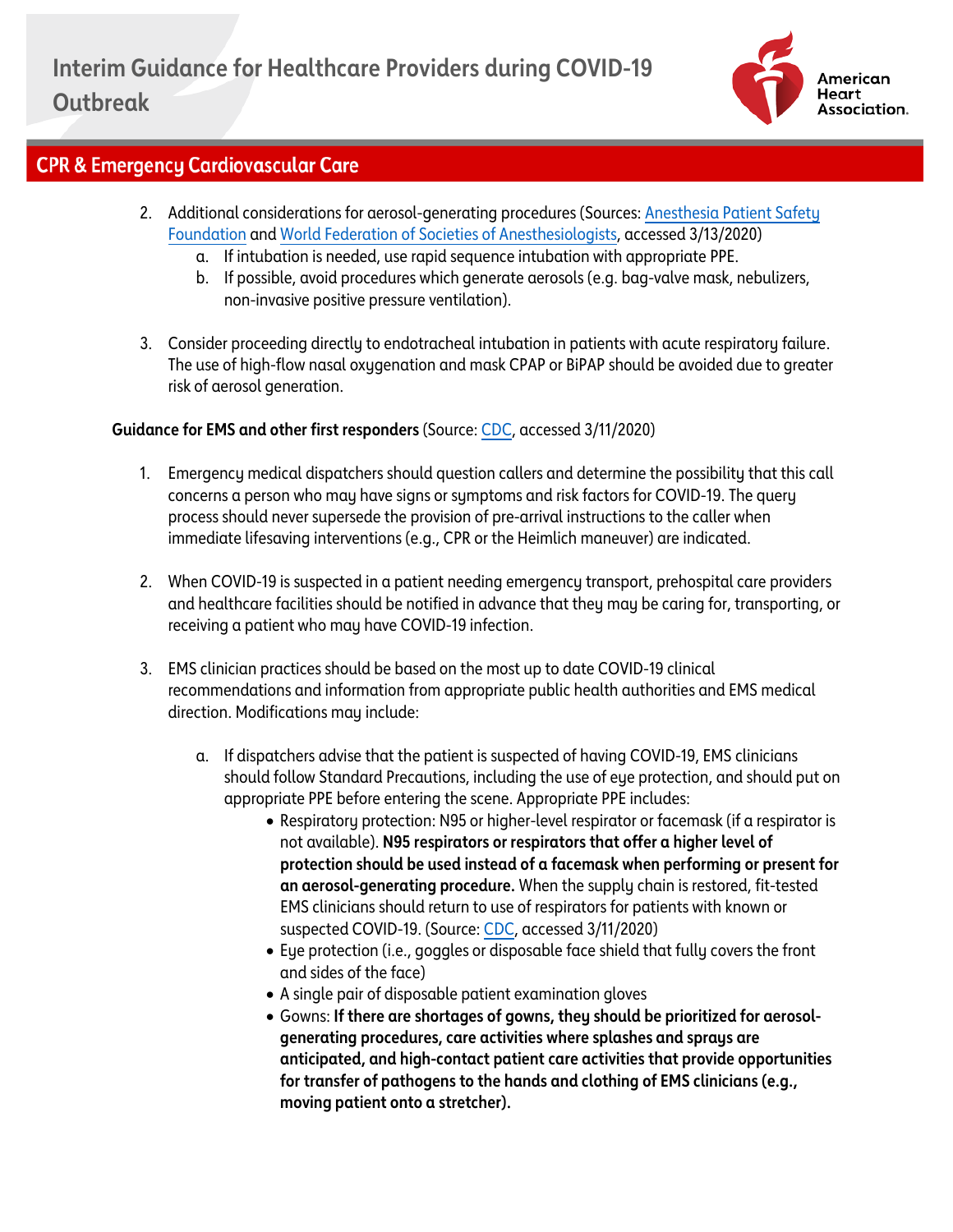

# **CPR & Emergency Cardiovascular Care**

- 2. Additional considerations for aerosol-generating procedures (Sources[: Anesthesia Patient Safety](https://www.apsf.org/news-updates/perioperative-considerations-for-the-2019-novel-coronavirus-covid-19/)  [Foundation](https://www.apsf.org/news-updates/perioperative-considerations-for-the-2019-novel-coronavirus-covid-19/) and [World Federation of Societies of Anesthesiologists,](https://www.wfsahq.org/resources/coronavirus) accessed 3/13/2020)
	- a. If intubation is needed, use rapid sequence intubation with appropriate PPE.
	- b. If possible, avoid procedures which generate aerosols (e.g. bag-valve mask, nebulizers, non-invasive positive pressure ventilation).
- 3. Consider proceeding directly to endotracheal intubation in patients with acute respiratory failure. The use of high-flow nasal oxygenation and mask CPAP or BiPAP should be avoided due to greater risk of aerosol generation.

### **Guidance for EMS and other first responders** (Source[: CDC,](https://www.cdc.gov/coronavirus/2019-ncov/hcp/guidance-for-ems.html) accessed 3/11/2020)

- 1. Emergency medical dispatchers should question callers and determine the possibility that this call concerns a person who may have signs or symptoms and risk factors for COVID-19. The query process should never supersede the provision of pre-arrival instructions to the caller when immediate lifesaving interventions (e.g., CPR or the Heimlich maneuver) are indicated.
- 2. When COVID-19 is suspected in a patient needing emergency transport, prehospital care providers and healthcare facilities should be notified in advance that they may be caring for, transporting, or receiving a patient who may have COVID-19 infection.
- 3. EMS clinician practices should be based on the most up to date COVID-19 clinical recommendations and information from appropriate public health authorities and EMS medical direction. Modifications may include:
	- a. If dispatchers advise that the patient is suspected of having COVID-19, EMS clinicians should follow Standard Precautions, including the use of eye protection, and should put on appropriate PPE before entering the scene. Appropriate PPE includes:
		- Respiratory protection: N95 or higher-level respirator or facemask (if a respirator is not available). **N95 respirators or respirators that offer a higher level of protection should be used instead of a facemask when performing or present for an aerosol-generating procedure.** When the supply chain is restored, fit-tested EMS clinicians should return to use of respirators for patients with known or suspected COVID-19. (Source: [CDC,](https://www.cdc.gov/coronavirus/2019-ncov/hcp/guidance-for-ems.html) accessed 3/11/2020)
		- Eye protection (i.e., goggles or disposable face shield that fully covers the front and sides of the face)
		- A single pair of disposable patient examination gloves
		- Gowns: **If there are shortages of gowns, they should be prioritized for aerosolgenerating procedures, care activities where splashes and sprays are anticipated, and high-contact patient care activities that provide opportunities for transfer of pathogens to the hands and clothing of EMS clinicians (e.g., moving patient onto a stretcher).**